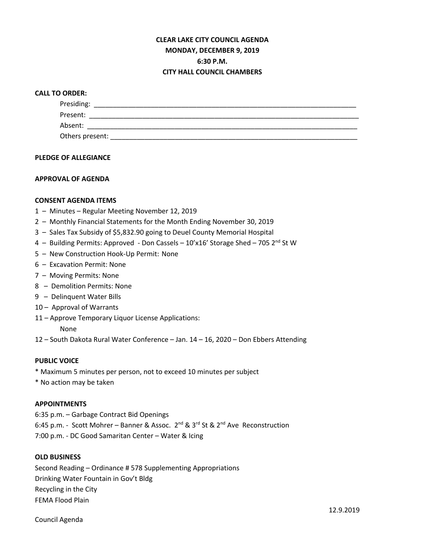# **CLEAR LAKE CITY COUNCIL AGENDA MONDAY, DECEMBER 9, 2019 6:30 P.M. CITY HALL COUNCIL CHAMBERS**

## **CALL TO ORDER:**

| Presiding:      |  |  |
|-----------------|--|--|
| Present:        |  |  |
| Absent:         |  |  |
| Others present: |  |  |

#### **PLEDGE OF ALLEGIANCE**

## **APPROVAL OF AGENDA**

#### **CONSENT AGENDA ITEMS**

- 1 Minutes Regular Meeting November 12, 2019
- 2 Monthly Financial Statements for the Month Ending November 30, 2019
- 3 Sales Tax Subsidy of \$5,832.90 going to Deuel County Memorial Hospital
- 4 Building Permits: Approved Don Cassels  $10'x16'$  Storage Shed 705  $2<sup>nd</sup>$  St W
- 5 New Construction Hook-Up Permit: None
- 6 Excavation Permit: None
- 7 Moving Permits: None
- 8 Demolition Permits: None
- 9 Delinquent Water Bills
- 10 Approval of Warrants
- 11 Approve Temporary Liquor License Applications:

None

12 – South Dakota Rural Water Conference – Jan. 14 – 16, 2020 – Don Ebbers Attending

#### **PUBLIC VOICE**

- \* Maximum 5 minutes per person, not to exceed 10 minutes per subject
- \* No action may be taken

#### **APPOINTMENTS**

6:35 p.m. – Garbage Contract Bid Openings 6:45 p.m. - Scott Mohrer – Banner & Assoc.  $2^{nd}$  &  $3^{rd}$  St &  $2^{nd}$  Ave Reconstruction 7:00 p.m. - DC Good Samaritan Center – Water & Icing

## **OLD BUSINESS**

Second Reading – Ordinance # 578 Supplementing Appropriations Drinking Water Fountain in Gov't Bldg Recycling in the City FEMA Flood Plain

Council Agenda